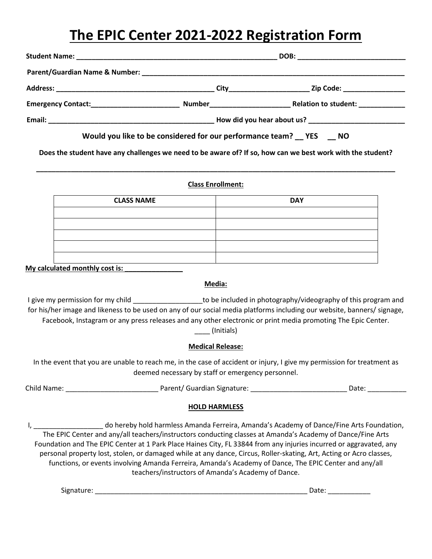# **The EPIC Center 2021-2022 Registration Form**

|                                                               |  | DOB: _____________________________ |
|---------------------------------------------------------------|--|------------------------------------|
|                                                               |  |                                    |
|                                                               |  | Zip Code: __________________       |
|                                                               |  | Relation to student:               |
|                                                               |  |                                    |
| Would you like to be considered for our performance team? YES |  | <b>NO</b>                          |

**Does the student have any challenges we need to be aware of? If so, how can we best work with the student?**

**\_\_\_\_\_\_\_\_\_\_\_\_\_\_\_\_\_\_\_\_\_\_\_\_\_\_\_\_\_\_\_\_\_\_\_\_\_\_\_\_\_\_\_\_\_\_\_\_\_\_\_\_\_\_\_\_\_\_\_\_\_\_\_\_\_\_\_\_\_\_\_\_\_\_\_\_\_\_\_\_\_\_\_\_\_\_\_\_\_\_\_\_\_**

#### **Class Enrollment:**

| <b>CLASS NAME</b> | <b>DAY</b> |
|-------------------|------------|
|                   |            |
|                   |            |
|                   |            |
|                   |            |
|                   |            |

**My calculated monthly cost is:** 

#### **Media:**

I give my permission for my child **Exercic 20** to be included in photography/videography of this program and for his/her image and likeness to be used on any of our social media platforms including our website, banners/ signage, Facebook, Instagram or any press releases and any other electronic or print media promoting The Epic Center. \_\_\_\_ (Initials)

### **Medical Release:**

In the event that you are unable to reach me, in the case of accident or injury, I give my permission for treatment as deemed necessary by staff or emergency personnel.

Child Name: \_\_\_\_\_\_\_\_\_\_\_\_\_\_\_\_\_\_\_\_\_\_\_\_ Parent/ Guardian Signature: \_\_\_\_\_\_\_\_\_\_\_\_\_\_\_\_\_\_\_\_\_\_\_\_\_ Date: \_\_\_\_\_\_\_\_\_\_

#### **HOLD HARMLESS**

I, \_\_\_\_\_\_\_\_\_\_\_\_\_\_\_\_\_\_ do hereby hold harmless Amanda Ferreira, Amanda's Academy of Dance/Fine Arts Foundation, The EPIC Center and any/all teachers/instructors conducting classes at Amanda's Academy of Dance/Fine Arts Foundation and The EPIC Center at 1 Park Place Haines City, FL 33844 from any injuries incurred or aggravated, any personal property lost, stolen, or damaged while at any dance, Circus, Roller-skating, Art, Acting or Acro classes, functions, or events involving Amanda Ferreira, Amanda's Academy of Dance, The EPIC Center and any/all teachers/instructors of Amanda's Academy of Dance.

Signature: \_\_\_\_\_\_\_\_\_\_\_\_\_\_\_\_\_\_\_\_\_\_\_\_\_\_\_\_\_\_\_\_\_\_\_\_\_\_\_\_\_\_\_\_\_\_\_\_\_\_\_\_\_\_\_ Date: \_\_\_\_\_\_\_\_\_\_\_